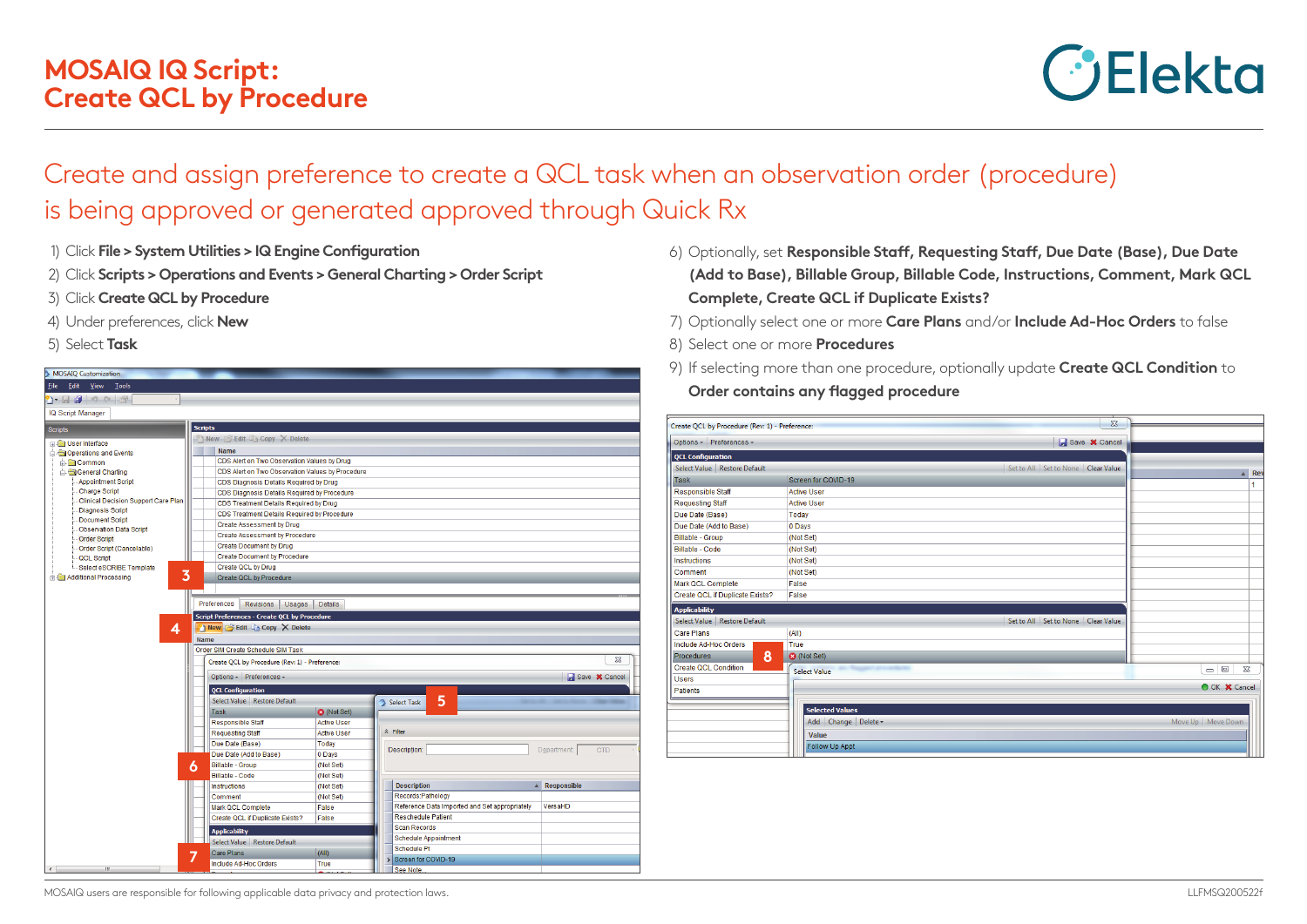## **MOSAIQ IQ Script: Create QCL by Procedure**



## Create and assign preference to create a QCL task when an observation order (procedure) is being approved or generated approved through Quick Rx

- 1) Click **File > System Utilities > IQ Engine Configuration**
- 2) Click **Scripts > Operations and Events > General Charting > Order Script**
- 3) Click **Create QCL by Procedure**
- 4) Under preferences, click **New**
- 5) Select **Task**



- 6) Optionally, set **Responsible Staff, Requesting Staff, Due Date (Base), Due Date (Add to Base), Billable Group, Billable Code, Instructions, Comment, Mark QCL Complete, Create QCL if Duplicate Exists?**
- 7) Optionally select one or more **Care Plans** and/or **Include Ad-Hoc Orders** to false
- 8) Select one or more **Procedures**
- 9) If selecting more than one procedure, optionally update **Create QCL Condition** to

**Order contains any flagged procedure**

| Create QCL by Procedure (Rev: 1) - Preference: |                                                                                | $\Sigma$                               |                                                          |
|------------------------------------------------|--------------------------------------------------------------------------------|----------------------------------------|----------------------------------------------------------|
| Options - Preferences -                        |                                                                                | Save <b>X</b> Cancel                   |                                                          |
| <b>QCL Configuration</b>                       |                                                                                |                                        |                                                          |
| Select Value   Restore Default                 |                                                                                | Set to All   Set to None   Clear Value | $\triangle$ Re                                           |
| <b>Task</b>                                    | Screen for COVID-19                                                            |                                        | 1                                                        |
| <b>Responsible Staff</b>                       | <b>Active User</b>                                                             |                                        |                                                          |
| <b>Requesting Staff</b>                        | <b>Active User</b>                                                             |                                        |                                                          |
| Due Date (Base)                                | Today                                                                          |                                        |                                                          |
| Due Date (Add to Base)                         | 0 Days                                                                         |                                        |                                                          |
| <b>Billable - Group</b>                        | (Not Set)                                                                      |                                        |                                                          |
| <b>Billable - Code</b>                         | (Not Set)                                                                      |                                        |                                                          |
| <b>Instructions</b>                            | (Not Set)                                                                      |                                        |                                                          |
| Comment                                        | (Not Set)                                                                      |                                        |                                                          |
| Mark QCL Complete                              | False                                                                          |                                        |                                                          |
| Create QCL if Duplicate Exists?                | False                                                                          |                                        |                                                          |
| <b>Applicability</b>                           |                                                                                |                                        |                                                          |
| Select Value Restore Default                   |                                                                                | Set to All Set to None Clear Value     |                                                          |
| Care Plans                                     | (AII)                                                                          |                                        |                                                          |
| Include Ad-Hoc Orders                          | True                                                                           |                                        |                                                          |
| 8<br><b>Procedures</b>                         | <b>3</b> (Not Set)                                                             |                                        |                                                          |
| Create QCL Condition                           | <b><i><u>Report Follows Company and Company</u></i></b><br><b>Select Value</b> |                                        | $\qquad \qquad \Box$<br>$\Sigma$<br>$\qquad \qquad \Box$ |
| <b>Users</b>                                   |                                                                                |                                        |                                                          |
| <b>Patients</b>                                |                                                                                |                                        | O OK X Cancel                                            |
|                                                |                                                                                |                                        |                                                          |
|                                                | <b>Selected Values</b>                                                         |                                        |                                                          |
|                                                | Add Change Delete -                                                            |                                        | Move Up   Move Down                                      |
|                                                | Value                                                                          |                                        |                                                          |
|                                                | <b>Follow Up Appt</b>                                                          |                                        |                                                          |
|                                                |                                                                                |                                        |                                                          |